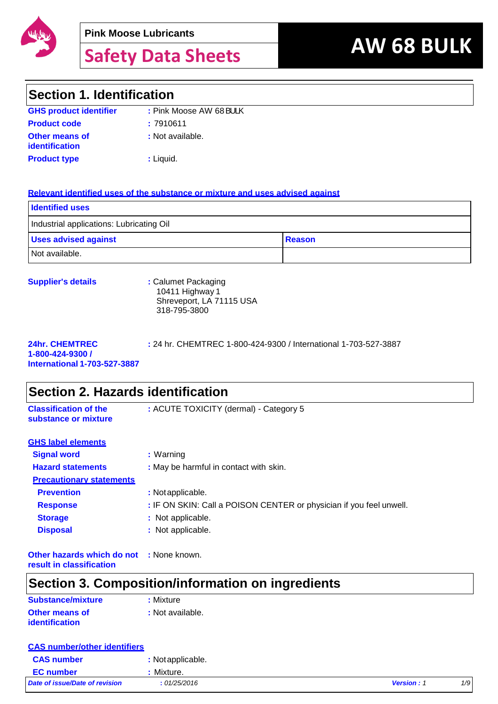

# **AW 68 BULK Safety Data Sheets**

### **Section 1. Identification**

| <b>GHS product identifier</b>           | : Pink Moose AW 68 BULK |
|-----------------------------------------|-------------------------|
| <b>Product code</b>                     | :7910611                |
| Other means of<br><i>identification</i> | : Not available.        |
| <b>Product type</b>                     | : Liguid.               |

#### **Relevant identified uses of the substance or mixture and uses advised against**

| <b>Identified uses</b>                       |  |
|----------------------------------------------|--|
| Industrial applications: Lubricating Oil     |  |
| <b>Uses advised against</b><br><b>Reason</b> |  |
| Not available.                               |  |

| <b>Supplier's details</b> | : Calumet Packaging      |
|---------------------------|--------------------------|
|                           | 10411 Highway 1          |
|                           | Shreveport, LA 71115 USA |
|                           | 318-795-3800             |

| <b>24hr. CHEMTREC</b>               | : 24 hr. CHEMTREC 1-800-424-9300 / International 1-703-527-3887 |
|-------------------------------------|-----------------------------------------------------------------|
| 1-800-424-9300 /                    |                                                                 |
| <b>International 1-703-527-3887</b> |                                                                 |

| Section 2. Hazards identification                    |                                                                     |  |
|------------------------------------------------------|---------------------------------------------------------------------|--|
| <b>Classification of the</b><br>substance or mixture | : ACUTE TOXICITY (dermal) - Category 5                              |  |
| <b>GHS label elements</b>                            |                                                                     |  |
| <b>Signal word</b>                                   | : Warning                                                           |  |
| <b>Hazard statements</b>                             | : May be harmful in contact with skin.                              |  |
| <b>Precautionary statements</b>                      |                                                                     |  |
| <b>Prevention</b>                                    | : Not applicable.                                                   |  |
| <b>Response</b>                                      | : IF ON SKIN: Call a POISON CENTER or physician if you feel unwell. |  |
| <b>Storage</b>                                       | : Not applicable.                                                   |  |
| <b>Disposal</b>                                      | : Not applicable.                                                   |  |
| <b>Other hazards which do not : None known.</b>      |                                                                     |  |

**result in classification**

### **Section 3. Composition/information on ingredients**

| Substance/mixture     | : Mixture        |
|-----------------------|------------------|
| Other means of        | : Not available. |
| <b>identification</b> |                  |

| <b>CAS number/other identifiers</b> |                   |                   |           |
|-------------------------------------|-------------------|-------------------|-----------|
| <b>CAS number</b>                   | : Not applicable. |                   |           |
| <b>EC</b> number                    | <u>:</u> Mixture. |                   |           |
| Date of issue/Date of revision      | : 01/25/2016      | <b>Version: 1</b> | $1/\zeta$ |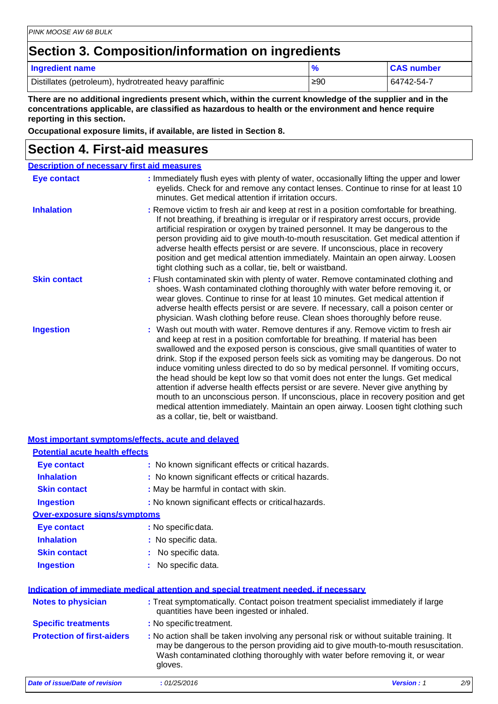### **Section 3. Composition/information on ingredients**

**Most important symptoms/effects, acute and delayed**

| Ingredient name                                        |     | <b>CAS number</b> |
|--------------------------------------------------------|-----|-------------------|
| Distillates (petroleum), hydrotreated heavy paraffinic | ≥90 | 64742-54-7        |

**There are no additional ingredients present which, within the current knowledge of the supplier and in the concentrations applicable, are classified as hazardous to health or the environment and hence require reporting in this section.**

**Occupational exposure limits, if available, are listed in Section 8.**

### **Section 4. First-aid measures**

| <b>Description of necessary first aid measures</b> |                                                                                                                                                                                                                                                                                                                                                                                                                                                                                                                                                                                                                                                                                                                                                                                                                              |  |
|----------------------------------------------------|------------------------------------------------------------------------------------------------------------------------------------------------------------------------------------------------------------------------------------------------------------------------------------------------------------------------------------------------------------------------------------------------------------------------------------------------------------------------------------------------------------------------------------------------------------------------------------------------------------------------------------------------------------------------------------------------------------------------------------------------------------------------------------------------------------------------------|--|
| <b>Eye contact</b>                                 | : Immediately flush eyes with plenty of water, occasionally lifting the upper and lower<br>eyelids. Check for and remove any contact lenses. Continue to rinse for at least 10<br>minutes. Get medical attention if irritation occurs.                                                                                                                                                                                                                                                                                                                                                                                                                                                                                                                                                                                       |  |
| <b>Inhalation</b>                                  | : Remove victim to fresh air and keep at rest in a position comfortable for breathing.<br>If not breathing, if breathing is irregular or if respiratory arrest occurs, provide<br>artificial respiration or oxygen by trained personnel. It may be dangerous to the<br>person providing aid to give mouth-to-mouth resuscitation. Get medical attention if<br>adverse health effects persist or are severe. If unconscious, place in recovery<br>position and get medical attention immediately. Maintain an open airway. Loosen<br>tight clothing such as a collar, tie, belt or waistband.                                                                                                                                                                                                                                 |  |
| <b>Skin contact</b>                                | : Flush contaminated skin with plenty of water. Remove contaminated clothing and<br>shoes. Wash contaminated clothing thoroughly with water before removing it, or<br>wear gloves. Continue to rinse for at least 10 minutes. Get medical attention if<br>adverse health effects persist or are severe. If necessary, call a poison center or<br>physician. Wash clothing before reuse. Clean shoes thoroughly before reuse.                                                                                                                                                                                                                                                                                                                                                                                                 |  |
| <b>Ingestion</b>                                   | : Wash out mouth with water. Remove dentures if any. Remove victim to fresh air<br>and keep at rest in a position comfortable for breathing. If material has been<br>swallowed and the exposed person is conscious, give small quantities of water to<br>drink. Stop if the exposed person feels sick as vomiting may be dangerous. Do not<br>induce vomiting unless directed to do so by medical personnel. If vomiting occurs,<br>the head should be kept low so that vomit does not enter the lungs. Get medical<br>attention if adverse health effects persist or are severe. Never give anything by<br>mouth to an unconscious person. If unconscious, place in recovery position and get<br>medical attention immediately. Maintain an open airway. Loosen tight clothing such<br>as a collar, tie, belt or waistband. |  |

| <u>Most important symptoms/effects. acute and delaved </u> |                                                                                                                                                                                                                                                                          |                   |     |
|------------------------------------------------------------|--------------------------------------------------------------------------------------------------------------------------------------------------------------------------------------------------------------------------------------------------------------------------|-------------------|-----|
| <b>Potential acute health effects</b>                      |                                                                                                                                                                                                                                                                          |                   |     |
| <b>Eye contact</b>                                         | : No known significant effects or critical hazards.                                                                                                                                                                                                                      |                   |     |
| <b>Inhalation</b>                                          | : No known significant effects or critical hazards.                                                                                                                                                                                                                      |                   |     |
| <b>Skin contact</b>                                        | : May be harmful in contact with skin.                                                                                                                                                                                                                                   |                   |     |
| <b>Ingestion</b>                                           | : No known significant effects or critical hazards.                                                                                                                                                                                                                      |                   |     |
| <b>Over-exposure signs/symptoms</b>                        |                                                                                                                                                                                                                                                                          |                   |     |
| Eye contact                                                | : No specific data.                                                                                                                                                                                                                                                      |                   |     |
| <b>Inhalation</b>                                          | : No specific data.                                                                                                                                                                                                                                                      |                   |     |
| <b>Skin contact</b>                                        | : No specific data.                                                                                                                                                                                                                                                      |                   |     |
| <b>Ingestion</b>                                           | No specific data.                                                                                                                                                                                                                                                        |                   |     |
|                                                            | Indication of immediate medical attention and special treatment needed, if necessary                                                                                                                                                                                     |                   |     |
| <b>Notes to physician</b>                                  | : Treat symptomatically. Contact poison treatment specialist immediately if large<br>quantities have been ingested or inhaled.                                                                                                                                           |                   |     |
| <b>Specific treatments</b>                                 | : No specific treatment.                                                                                                                                                                                                                                                 |                   |     |
| <b>Protection of first-aiders</b>                          | : No action shall be taken involving any personal risk or without suitable training. It<br>may be dangerous to the person providing aid to give mouth-to-mouth resuscitation.<br>Wash contaminated clothing thoroughly with water before removing it, or wear<br>gloves. |                   |     |
| <b>Date of issue/Date of revision</b>                      | : 01/25/2016                                                                                                                                                                                                                                                             | <b>Version: 1</b> | 2/S |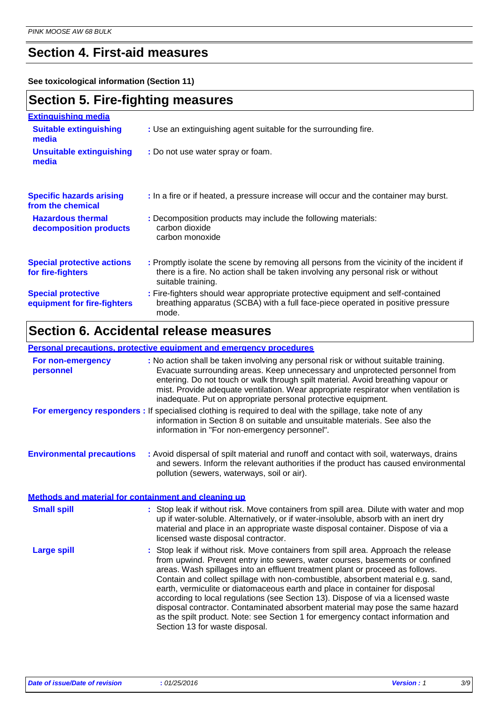### **Section 4. First-aid measures**

**See toxicological information (Section 11)**

### **Section 5. Fire-fighting measures**

| <b>Extinguishing media</b>                               |                                                                                                                                                                                                     |
|----------------------------------------------------------|-----------------------------------------------------------------------------------------------------------------------------------------------------------------------------------------------------|
| <b>Suitable extinguishing</b><br>media                   | : Use an extinguishing agent suitable for the surrounding fire.                                                                                                                                     |
| <b>Unsuitable extinguishing</b><br>media                 | : Do not use water spray or foam.                                                                                                                                                                   |
| <b>Specific hazards arising</b><br>from the chemical     | : In a fire or if heated, a pressure increase will occur and the container may burst.                                                                                                               |
| <b>Hazardous thermal</b><br>decomposition products       | : Decomposition products may include the following materials:<br>carbon dioxide<br>carbon monoxide                                                                                                  |
| <b>Special protective actions</b><br>for fire-fighters   | : Promptly isolate the scene by removing all persons from the vicinity of the incident if<br>there is a fire. No action shall be taken involving any personal risk or without<br>suitable training. |
| <b>Special protective</b><br>equipment for fire-fighters | : Fire-fighters should wear appropriate protective equipment and self-contained<br>breathing apparatus (SCBA) with a full face-piece operated in positive pressure<br>mode.                         |

## **Section 6. Accidental release measures**

#### **Personal precautions, protective equipment and emergency procedures**

| For non-emergency<br>personnel                       | : No action shall be taken involving any personal risk or without suitable training.<br>Evacuate surrounding areas. Keep unnecessary and unprotected personnel from<br>entering. Do not touch or walk through spilt material. Avoid breathing vapour or<br>mist. Provide adequate ventilation. Wear appropriate respirator when ventilation is<br>inadequate. Put on appropriate personal protective equipment.                                                                                                                                                                                                                                                                                                   |
|------------------------------------------------------|-------------------------------------------------------------------------------------------------------------------------------------------------------------------------------------------------------------------------------------------------------------------------------------------------------------------------------------------------------------------------------------------------------------------------------------------------------------------------------------------------------------------------------------------------------------------------------------------------------------------------------------------------------------------------------------------------------------------|
|                                                      | For emergency responders : If specialised clothing is required to deal with the spillage, take note of any<br>information in Section 8 on suitable and unsuitable materials. See also the<br>information in "For non-emergency personnel".                                                                                                                                                                                                                                                                                                                                                                                                                                                                        |
| <b>Environmental precautions</b>                     | : Avoid dispersal of spilt material and runoff and contact with soil, waterways, drains<br>and sewers. Inform the relevant authorities if the product has caused environmental<br>pollution (sewers, waterways, soil or air).                                                                                                                                                                                                                                                                                                                                                                                                                                                                                     |
| Methods and material for containment and cleaning up |                                                                                                                                                                                                                                                                                                                                                                                                                                                                                                                                                                                                                                                                                                                   |
| <b>Small spill</b>                                   | : Stop leak if without risk. Move containers from spill area. Dilute with water and mop<br>up if water-soluble. Alternatively, or if water-insoluble, absorb with an inert dry<br>material and place in an appropriate waste disposal container. Dispose of via a<br>licensed waste disposal contractor.                                                                                                                                                                                                                                                                                                                                                                                                          |
| <b>Large spill</b>                                   | : Stop leak if without risk. Move containers from spill area. Approach the release<br>from upwind. Prevent entry into sewers, water courses, basements or confined<br>areas. Wash spillages into an effluent treatment plant or proceed as follows.<br>Contain and collect spillage with non-combustible, absorbent material e.g. sand,<br>earth, vermiculite or diatomaceous earth and place in container for disposal<br>according to local regulations (see Section 13). Dispose of via a licensed waste<br>disposal contractor. Contaminated absorbent material may pose the same hazard<br>as the spilt product. Note: see Section 1 for emergency contact information and<br>Section 13 for waste disposal. |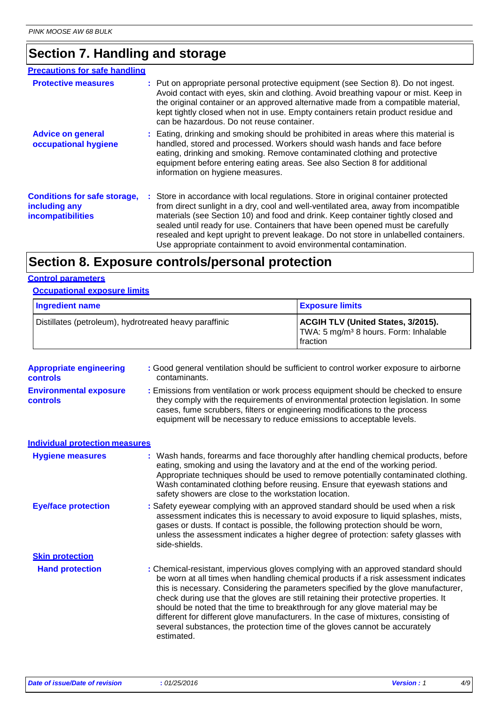### **Section 7. Handling and storage**

| <b>Precautions for safe handling</b>                                             |                                                                                                                                                                                                                                                                                                                                                                                                                                                                                                                |
|----------------------------------------------------------------------------------|----------------------------------------------------------------------------------------------------------------------------------------------------------------------------------------------------------------------------------------------------------------------------------------------------------------------------------------------------------------------------------------------------------------------------------------------------------------------------------------------------------------|
| <b>Protective measures</b>                                                       | : Put on appropriate personal protective equipment (see Section 8). Do not ingest.<br>Avoid contact with eyes, skin and clothing. Avoid breathing vapour or mist. Keep in<br>the original container or an approved alternative made from a compatible material,<br>kept tightly closed when not in use. Empty containers retain product residue and<br>can be hazardous. Do not reuse container.                                                                                                               |
| <b>Advice on general</b><br>occupational hygiene                                 | : Eating, drinking and smoking should be prohibited in areas where this material is<br>handled, stored and processed. Workers should wash hands and face before<br>eating, drinking and smoking. Remove contaminated clothing and protective<br>equipment before entering eating areas. See also Section 8 for additional<br>information on hygiene measures.                                                                                                                                                  |
| <b>Conditions for safe storage,</b><br>including any<br><b>incompatibilities</b> | : Store in accordance with local regulations. Store in original container protected<br>from direct sunlight in a dry, cool and well-ventilated area, away from incompatible<br>materials (see Section 10) and food and drink. Keep container tightly closed and<br>sealed until ready for use. Containers that have been opened must be carefully<br>resealed and kept upright to prevent leakage. Do not store in unlabelled containers.<br>Use appropriate containment to avoid environmental contamination. |

### **Section 8. Exposure controls/personal protection**

#### **Control parameters**

#### **Occupational exposure limits**

| Ingredient name                                        | <b>Exposure limits</b>                                                                                            |
|--------------------------------------------------------|-------------------------------------------------------------------------------------------------------------------|
| Distillates (petroleum), hydrotreated heavy paraffinic | <b>ACGIH TLV (United States, 3/2015).</b><br>TWA: 5 mg/m <sup>3</sup> 8 hours. Form: Inhalable<br><b>fraction</b> |

| <b>Appropriate engineering</b><br><b>controls</b> | : Good general ventilation should be sufficient to control worker exposure to airborne<br>contaminants.                                                                                                                                                                                                                                                                                                                                                                                                                                                                                                                   |
|---------------------------------------------------|---------------------------------------------------------------------------------------------------------------------------------------------------------------------------------------------------------------------------------------------------------------------------------------------------------------------------------------------------------------------------------------------------------------------------------------------------------------------------------------------------------------------------------------------------------------------------------------------------------------------------|
| <b>Environmental exposure</b><br><b>controls</b>  | : Emissions from ventilation or work process equipment should be checked to ensure<br>they comply with the requirements of environmental protection legislation. In some<br>cases, fume scrubbers, filters or engineering modifications to the process<br>equipment will be necessary to reduce emissions to acceptable levels.                                                                                                                                                                                                                                                                                           |
| <b>Individual protection measures</b>             |                                                                                                                                                                                                                                                                                                                                                                                                                                                                                                                                                                                                                           |
| <b>Hygiene measures</b>                           | : Wash hands, forearms and face thoroughly after handling chemical products, before<br>eating, smoking and using the lavatory and at the end of the working period.<br>Appropriate techniques should be used to remove potentially contaminated clothing.<br>Wash contaminated clothing before reusing. Ensure that eyewash stations and<br>safety showers are close to the workstation location.                                                                                                                                                                                                                         |
| <b>Eye/face protection</b>                        | : Safety eyewear complying with an approved standard should be used when a risk<br>assessment indicates this is necessary to avoid exposure to liquid splashes, mists,<br>gases or dusts. If contact is possible, the following protection should be worn,<br>unless the assessment indicates a higher degree of protection: safety glasses with<br>side-shields.                                                                                                                                                                                                                                                         |
| <b>Skin protection</b>                            |                                                                                                                                                                                                                                                                                                                                                                                                                                                                                                                                                                                                                           |
| <b>Hand protection</b>                            | : Chemical-resistant, impervious gloves complying with an approved standard should<br>be worn at all times when handling chemical products if a risk assessment indicates<br>this is necessary. Considering the parameters specified by the glove manufacturer,<br>check during use that the gloves are still retaining their protective properties. It<br>should be noted that the time to breakthrough for any glove material may be<br>different for different glove manufacturers. In the case of mixtures, consisting of<br>several substances, the protection time of the gloves cannot be accurately<br>estimated. |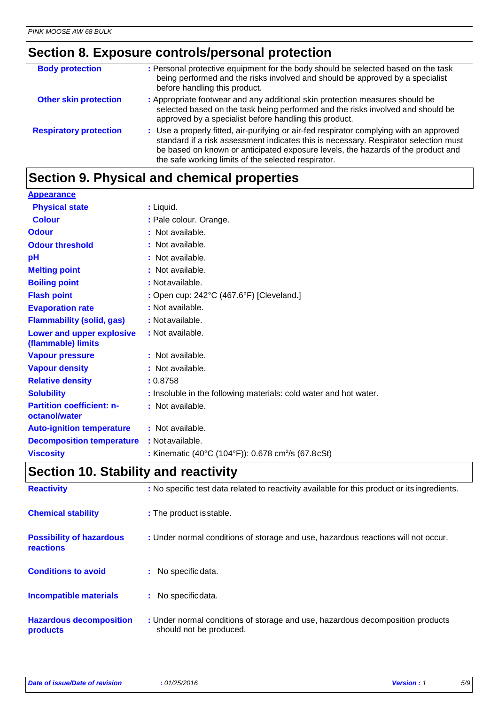### **Section 8. Exposure controls/personal protection**

| <b>Body protection</b>        | : Personal protective equipment for the body should be selected based on the task<br>being performed and the risks involved and should be approved by a specialist<br>before handling this product.                                                                                                                        |
|-------------------------------|----------------------------------------------------------------------------------------------------------------------------------------------------------------------------------------------------------------------------------------------------------------------------------------------------------------------------|
| <b>Other skin protection</b>  | : Appropriate footwear and any additional skin protection measures should be<br>selected based on the task being performed and the risks involved and should be<br>approved by a specialist before handling this product.                                                                                                  |
| <b>Respiratory protection</b> | : Use a properly fitted, air-purifying or air-fed respirator complying with an approved<br>standard if a risk assessment indicates this is necessary. Respirator selection must<br>be based on known or anticipated exposure levels, the hazards of the product and<br>the safe working limits of the selected respirator. |
|                               |                                                                                                                                                                                                                                                                                                                            |

### **Section 9. Physical and chemical properties**

| <b>Appearance</b>                                 |                                                                   |
|---------------------------------------------------|-------------------------------------------------------------------|
| <b>Physical state</b>                             | : Liquid.                                                         |
| <b>Colour</b>                                     | : Pale colour. Orange.                                            |
| <b>Odour</b>                                      | : Not available.                                                  |
| <b>Odour threshold</b>                            | : Not available.                                                  |
| pH                                                | : Not available.                                                  |
| <b>Melting point</b>                              | : Not available.                                                  |
| <b>Boiling point</b>                              | : Not available.                                                  |
| <b>Flash point</b>                                | : Open cup: $242^{\circ}$ C (467.6 $^{\circ}$ F) [Cleveland.]     |
| <b>Evaporation rate</b>                           | : Not available.                                                  |
| <b>Flammability (solid, gas)</b>                  | : Not available.                                                  |
| Lower and upper explosive<br>(flammable) limits   | : Not available.                                                  |
| <b>Vapour pressure</b>                            | : Not available.                                                  |
| <b>Vapour density</b>                             | : Not available.                                                  |
| <b>Relative density</b>                           | : 0.8758                                                          |
| <b>Solubility</b>                                 | : Insoluble in the following materials: cold water and hot water. |
| <b>Partition coefficient: n-</b><br>octanol/water | : Not available.                                                  |
| <b>Auto-ignition temperature</b>                  | : Not available.                                                  |
| <b>Decomposition temperature</b>                  | : Not available.                                                  |
| <b>Viscosity</b>                                  | : Kinematic (40°C (104°F)): 0.678 cm <sup>2</sup> /s (67.8cSt)    |

### **Section 10. Stability and reactivity**

| <b>Reactivity</b>                            | : No specific test data related to reactivity available for this product or its ingredients.              |
|----------------------------------------------|-----------------------------------------------------------------------------------------------------------|
| <b>Chemical stability</b>                    | : The product is stable.                                                                                  |
| <b>Possibility of hazardous</b><br>reactions | : Under normal conditions of storage and use, hazardous reactions will not occur.                         |
| <b>Conditions to avoid</b>                   | $:$ No specific data.                                                                                     |
| <b>Incompatible materials</b>                | : No specific data.                                                                                       |
| <b>Hazardous decomposition</b><br>products   | : Under normal conditions of storage and use, hazardous decomposition products<br>should not be produced. |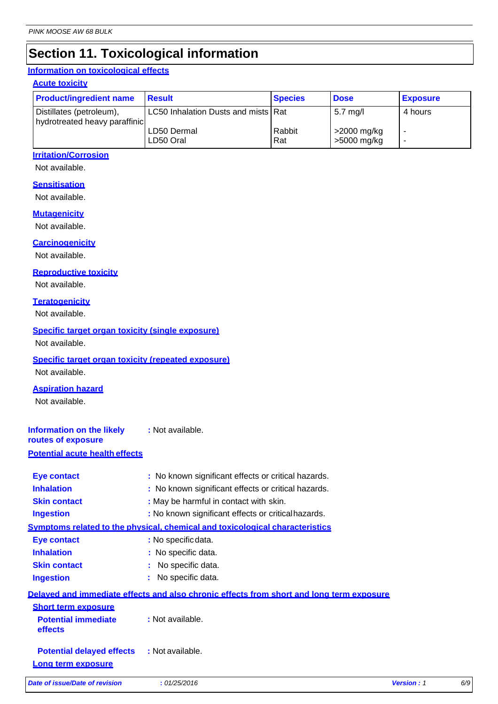### **Section 11. Toxicological information**

### **Information on toxicological effects**

#### **Acute toxicity**

| <b>Product/ingredient name</b>                            | <b>Result</b>                       | <b>Species</b> | <b>Dose</b>                | <b>Exposure</b> |
|-----------------------------------------------------------|-------------------------------------|----------------|----------------------------|-----------------|
| Distillates (petroleum),<br>hydrotreated heavy paraffinic | LC50 Inhalation Dusts and mists Rat |                | $5.7 \text{ mg/l}$         | 4 hours         |
|                                                           | LD50 Dermal<br>LD50 Oral            | Rabbit<br>Rat  | >2000 mg/kg<br>>5000 mg/kg | -<br>-          |

#### **Irritation/Corrosion**

Not available.

#### **Sensitisation**

Not available.

#### **Mutagenicity**

Not available.

#### **Carcinogenicity**

Not available.

#### **Reproductive toxicity**

Not available.

#### **Teratogenicity**

Not available.

#### **Specific target organ toxicity (single exposure)**

Not available.

#### **Specific target organ toxicity (repeated exposure)**

Not available.

### **Aspiration hazard**

Not available.

#### **Information on the likely routes of exposure :** Not available.

### **Potential acute health effects**

| Delaved and immediate effects and also chronic effects from short and long term exposure |  |
|------------------------------------------------------------------------------------------|--|
|                                                                                          |  |
|                                                                                          |  |
|                                                                                          |  |
|                                                                                          |  |
|                                                                                          |  |
|                                                                                          |  |
|                                                                                          |  |
|                                                                                          |  |
|                                                                                          |  |
|                                                                                          |  |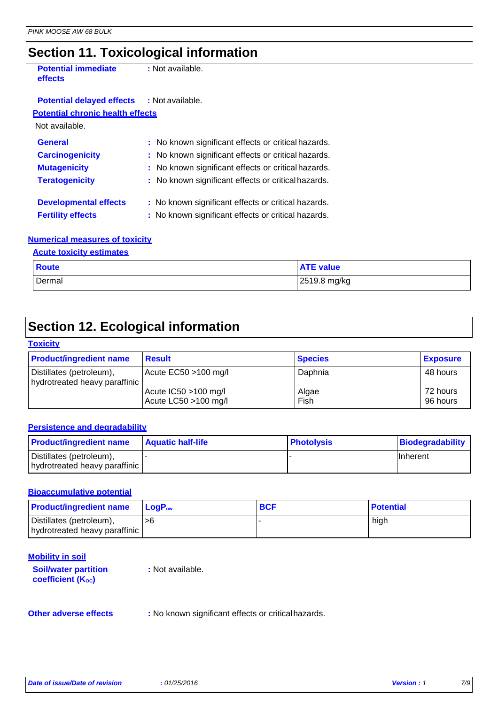### **Section 11. Toxicological information**

| <b>Potential immediate</b><br>effects   | : Not available.                                    |
|-----------------------------------------|-----------------------------------------------------|
| <b>Potential delayed effects</b>        | : Not available.                                    |
| <b>Potential chronic health effects</b> |                                                     |
| Not available.                          |                                                     |
| <b>General</b>                          | : No known significant effects or critical hazards. |
| <b>Carcinogenicity</b>                  | : No known significant effects or critical hazards. |
| <b>Mutagenicity</b>                     | : No known significant effects or critical hazards. |
| <b>Teratogenicity</b>                   | : No known significant effects or critical hazards. |
| <b>Developmental effects</b>            | : No known significant effects or critical hazards. |
| <b>Fertility effects</b>                | : No known significant effects or critical hazards. |
|                                         |                                                     |

#### **Numerical measures of toxicity**

#### **Acute toxicity estimates**

| <b>Route</b> | <b>ATE value</b> |
|--------------|------------------|
| Dermal       | 2519.8 mg/kg     |

### **Section 12. Ecological information**

#### **Toxicity**

| <b>Product/ingredient name</b>                            | <b>Result</b>                                | <b>Species</b> | <b>Exposure</b>      |
|-----------------------------------------------------------|----------------------------------------------|----------------|----------------------|
| Distillates (petroleum),<br>hydrotreated heavy paraffinic | Acute EC50 >100 mg/l                         | Daphnia        | 48 hours             |
|                                                           | Acute IC50 >100 mg/l<br>Acute LC50 >100 mg/l | Algae<br>Fish  | 72 hours<br>96 hours |

#### **Persistence and degradability**

| <b>Product/ingredient name</b>                            | <b>Aquatic half-life</b> | <b>Photolysis</b> | Biodegradability |
|-----------------------------------------------------------|--------------------------|-------------------|------------------|
| Distillates (petroleum),<br>hydrotreated heavy paraffinic |                          |                   | <b>Ilnherent</b> |

#### **Bioaccumulative potential**

| <b>Product/ingredient name</b>                            | <b>LogP</b> ∾ | <b>BCF</b> | <b>Potential</b> |
|-----------------------------------------------------------|---------------|------------|------------------|
| Distillates (petroleum),<br>hydrotreated heavy paraffinic | >6            |            | high             |

| <b>Mobility in soil</b>                                 |                  |  |
|---------------------------------------------------------|------------------|--|
| <b>Soil/water partition</b><br><b>coefficient (Koc)</b> | : Not available. |  |
|                                                         |                  |  |

**Other adverse effects** : No known significant effects or critical hazards.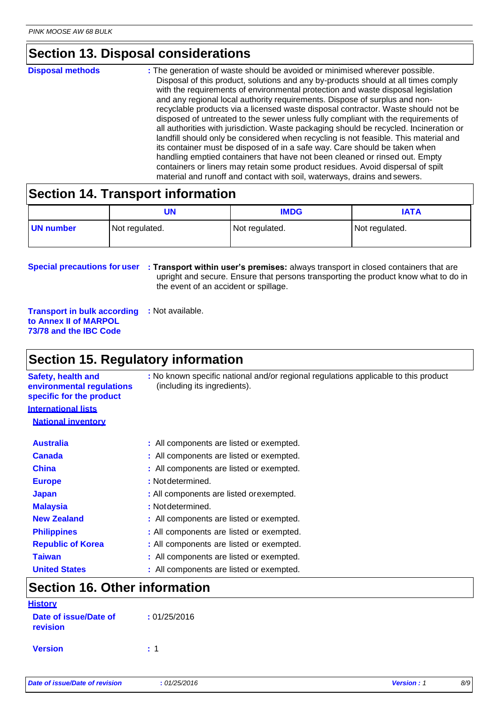### **Section 13. Disposal considerations**

| <b>Disposal methods</b> | : The generation of waste should be avoided or minimised wherever possible.<br>Disposal of this product, solutions and any by-products should at all times comply<br>with the requirements of environmental protection and waste disposal legislation<br>and any regional local authority requirements. Dispose of surplus and non-<br>recyclable products via a licensed waste disposal contractor. Waste should not be<br>disposed of untreated to the sewer unless fully compliant with the requirements of<br>all authorities with jurisdiction. Waste packaging should be recycled. Incineration or<br>landfill should only be considered when recycling is not feasible. This material and<br>its container must be disposed of in a safe way. Care should be taken when<br>handling emptied containers that have not been cleaned or rinsed out. Empty |
|-------------------------|---------------------------------------------------------------------------------------------------------------------------------------------------------------------------------------------------------------------------------------------------------------------------------------------------------------------------------------------------------------------------------------------------------------------------------------------------------------------------------------------------------------------------------------------------------------------------------------------------------------------------------------------------------------------------------------------------------------------------------------------------------------------------------------------------------------------------------------------------------------|
|                         | containers or liners may retain some product residues. Avoid dispersal of spilt<br>material and runoff and contact with soil, waterways, drains and sewers.                                                                                                                                                                                                                                                                                                                                                                                                                                                                                                                                                                                                                                                                                                   |

### **Section 14. Transport information**

|           | UN             | <b>IMDG</b>    | IATA           |
|-----------|----------------|----------------|----------------|
| UN number | Not regulated. | Not regulated. | Not regulated. |

**Special precautions for user : Transport within user's premises:** always transport in closed containers that are upright and secure. Ensure that persons transporting the product know what to do in the event of an accident or spillage.

**Transport in bulk according to Annex II of MARPOL 73/78 and the IBC Code :** Not available.

### **Section 15. Regulatory information**

**Safety, health and environmental regulations specific for the product International lists National inventory :** No known specific national and/or regional regulations applicable to this product (including its ingredients). **Australia :** All components are listed or exempted. **Canada :** All components are listed or exempted. **China :** All components are listed or exempted. **Europe :** Not determined. **Japan :** All components are listed orexempted. **Malaysia :** Not determined. **New Zealand :** All components are listed or exempted. **Philippines :** All components are listed or exempted. **Republic of Korea :** All components are listed or exempted. **Taiwan :** All components are listed or exempted. **United States :** All components are listed or exempted.

### **Section 16. Other information**

| <b>History</b>                    |              |
|-----------------------------------|--------------|
| Date of issue/Date of<br>revision | : 01/25/2016 |
| <b>Version</b>                    | - 1          |